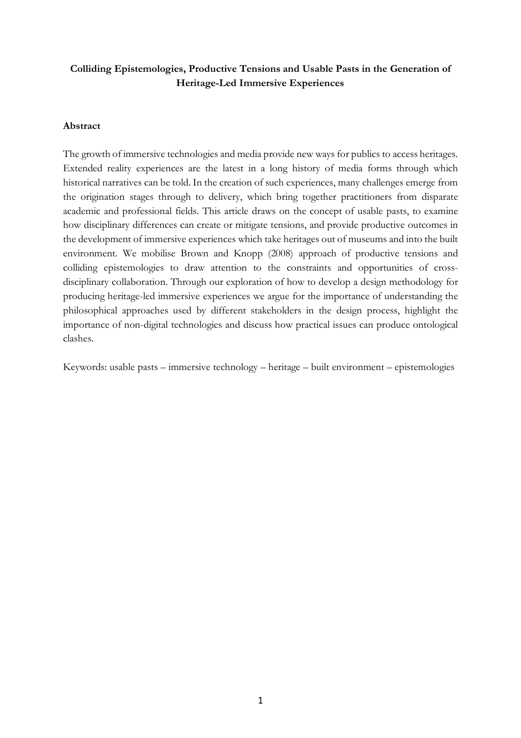# **Colliding Epistemologies, Productive Tensions and Usable Pasts in the Generation of Heritage-Led Immersive Experiences**

# **Abstract**

The growth of immersive technologies and media provide new ways for publics to access heritages. Extended reality experiences are the latest in a long history of media forms through which historical narratives can be told. In the creation of such experiences, many challenges emerge from the origination stages through to delivery, which bring together practitioners from disparate academic and professional fields. This article draws on the concept of usable pasts, to examine how disciplinary differences can create or mitigate tensions, and provide productive outcomes in the development of immersive experiences which take heritages out of museums and into the built environment. We mobilise Brown and Knopp (2008) approach of productive tensions and colliding epistemologies to draw attention to the constraints and opportunities of crossdisciplinary collaboration. Through our exploration of how to develop a design methodology for producing heritage-led immersive experiences we argue for the importance of understanding the philosophical approaches used by different stakeholders in the design process, highlight the importance of non-digital technologies and discuss how practical issues can produce ontological clashes.

Keywords: usable pasts – immersive technology – heritage – built environment – epistemologies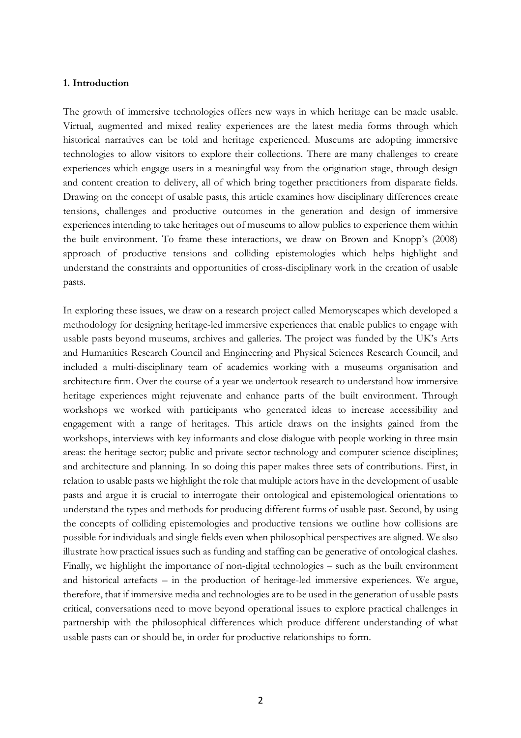#### **1. Introduction**

The growth of immersive technologies offers new ways in which heritage can be made usable. Virtual, augmented and mixed reality experiences are the latest media forms through which historical narratives can be told and heritage experienced. Museums are adopting immersive technologies to allow visitors to explore their collections. There are many challenges to create experiences which engage users in a meaningful way from the origination stage, through design and content creation to delivery, all of which bring together practitioners from disparate fields. Drawing on the concept of usable pasts, this article examines how disciplinary differences create tensions, challenges and productive outcomes in the generation and design of immersive experiences intending to take heritages out of museums to allow publics to experience them within the built environment. To frame these interactions, we draw on Brown and Knopp's (2008) approach of productive tensions and colliding epistemologies which helps highlight and understand the constraints and opportunities of cross-disciplinary work in the creation of usable pasts.

In exploring these issues, we draw on a research project called Memoryscapes which developed a methodology for designing heritage-led immersive experiences that enable publics to engage with usable pasts beyond museums, archives and galleries. The project was funded by the UK's Arts and Humanities Research Council and Engineering and Physical Sciences Research Council, and included a multi-disciplinary team of academics working with a museums organisation and architecture firm. Over the course of a year we undertook research to understand how immersive heritage experiences might rejuvenate and enhance parts of the built environment. Through workshops we worked with participants who generated ideas to increase accessibility and engagement with a range of heritages. This article draws on the insights gained from the workshops, interviews with key informants and close dialogue with people working in three main areas: the heritage sector; public and private sector technology and computer science disciplines; and architecture and planning. In so doing this paper makes three sets of contributions. First, in relation to usable pasts we highlight the role that multiple actors have in the development of usable pasts and argue it is crucial to interrogate their ontological and epistemological orientations to understand the types and methods for producing different forms of usable past. Second, by using the concepts of colliding epistemologies and productive tensions we outline how collisions are possible for individuals and single fields even when philosophical perspectives are aligned. We also illustrate how practical issues such as funding and staffing can be generative of ontological clashes. Finally, we highlight the importance of non-digital technologies – such as the built environment and historical artefacts – in the production of heritage-led immersive experiences. We argue, therefore, that if immersive media and technologies are to be used in the generation of usable pasts critical, conversations need to move beyond operational issues to explore practical challenges in partnership with the philosophical differences which produce different understanding of what usable pasts can or should be, in order for productive relationships to form.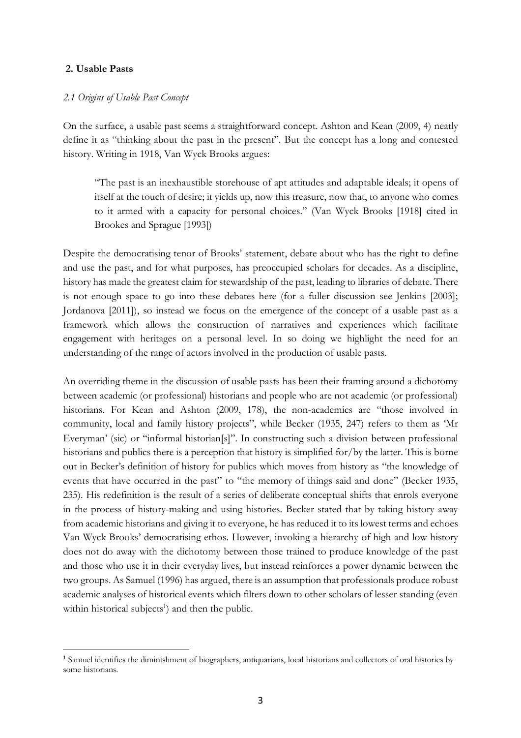### **2. Usable Pasts**

### *2.1 Origins of Usable Past Concept*

On the surface, a usable past seems a straightforward concept. Ashton and Kean (2009, 4) neatly define it as "thinking about the past in the present". But the concept has a long and contested history. Writing in 1918, Van Wyck Brooks argues:

"The past is an inexhaustible storehouse of apt attitudes and adaptable ideals; it opens of itself at the touch of desire; it yields up, now this treasure, now that, to anyone who comes to it armed with a capacity for personal choices." (Van Wyck Brooks [1918] cited in Brookes and Sprague [1993])

Despite the democratising tenor of Brooks' statement, debate about who has the right to define and use the past, and for what purposes, has preoccupied scholars for decades. As a discipline, history has made the greatest claim for stewardship of the past, leading to libraries of debate. There is not enough space to go into these debates here (for a fuller discussion see Jenkins [2003]; Jordanova [2011]), so instead we focus on the emergence of the concept of a usable past as a framework which allows the construction of narratives and experiences which facilitate engagement with heritages on a personal level. In so doing we highlight the need for an understanding of the range of actors involved in the production of usable pasts.

An overriding theme in the discussion of usable pasts has been their framing around a dichotomy between academic (or professional) historians and people who are not academic (or professional) historians. For Kean and Ashton (2009, 178), the non-academics are "those involved in community, local and family history projects", while Becker (1935, 247) refers to them as 'Mr Everyman' (sic) or "informal historian[s]". In constructing such a division between professional historians and publics there is a perception that history is simplified for/by the latter. This is borne out in Becker's definition of history for publics which moves from history as "the knowledge of events that have occurred in the past" to "the memory of things said and done" (Becker 1935, 235). His redefinition is the result of a series of deliberate conceptual shifts that enrols everyone in the process of history-making and using histories. Becker stated that by taking history away from academic historians and giving it to everyone, he has reduced it to its lowest terms and echoes Van Wyck Brooks' democratising ethos. However, invoking a hierarchy of high and low history does not do away with the dichotomy between those trained to produce knowledge of the past and those who use it in their everyday lives, but instead reinforces a power dynamic between the two groups. As Samuel (1996) has argued, there is an assumption that professionals produce robust academic analyses of historical events which filters down to other scholars of lesser standing (even within historical subjects<sup>1</sup>) and then the public.

 <sup>1</sup> Samuel identifies the diminishment of biographers, antiquarians, local historians and collectors of oral histories by some historians.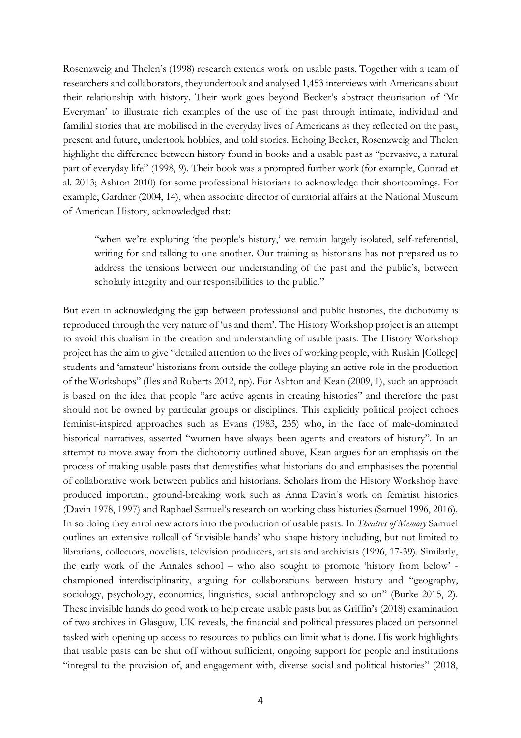Rosenzweig and Thelen's (1998) research extends work on usable pasts. Together with a team of researchers and collaborators, they undertook and analysed 1,453 interviews with Americans about their relationship with history. Their work goes beyond Becker's abstract theorisation of 'Mr Everyman' to illustrate rich examples of the use of the past through intimate, individual and familial stories that are mobilised in the everyday lives of Americans as they reflected on the past, present and future, undertook hobbies, and told stories. Echoing Becker, Rosenzweig and Thelen highlight the difference between history found in books and a usable past as "pervasive, a natural part of everyday life" (1998, 9). Their book was a prompted further work (for example, Conrad et al. 2013; Ashton 2010) for some professional historians to acknowledge their shortcomings. For example, Gardner (2004, 14), when associate director of curatorial affairs at the National Museum of American History, acknowledged that:

"when we're exploring 'the people's history,' we remain largely isolated, self-referential, writing for and talking to one another. Our training as historians has not prepared us to address the tensions between our understanding of the past and the public's, between scholarly integrity and our responsibilities to the public."

But even in acknowledging the gap between professional and public histories, the dichotomy is reproduced through the very nature of 'us and them'. The History Workshop project is an attempt to avoid this dualism in the creation and understanding of usable pasts. The History Workshop project has the aim to give "detailed attention to the lives of working people, with Ruskin [College] students and 'amateur' historians from outside the college playing an active role in the production of the Workshops" (Iles and Roberts 2012, np). For Ashton and Kean (2009, 1), such an approach is based on the idea that people "are active agents in creating histories" and therefore the past should not be owned by particular groups or disciplines. This explicitly political project echoes feminist-inspired approaches such as Evans (1983, 235) who, in the face of male-dominated historical narratives, asserted "women have always been agents and creators of history". In an attempt to move away from the dichotomy outlined above, Kean argues for an emphasis on the process of making usable pasts that demystifies what historians do and emphasises the potential of collaborative work between publics and historians. Scholars from the History Workshop have produced important, ground-breaking work such as Anna Davin's work on feminist histories (Davin 1978, 1997) and Raphael Samuel's research on working class histories (Samuel 1996, 2016). In so doing they enrol new actors into the production of usable pasts. In *Theatres of Memory* Samuel outlines an extensive rollcall of 'invisible hands' who shape history including, but not limited to librarians, collectors, novelists, television producers, artists and archivists (1996, 17-39). Similarly, the early work of the Annales school – who also sought to promote 'history from below' championed interdisciplinarity, arguing for collaborations between history and "geography, sociology, psychology, economics, linguistics, social anthropology and so on" (Burke 2015, 2). These invisible hands do good work to help create usable pasts but as Griffin's (2018) examination of two archives in Glasgow, UK reveals, the financial and political pressures placed on personnel tasked with opening up access to resources to publics can limit what is done. His work highlights that usable pasts can be shut off without sufficient, ongoing support for people and institutions "integral to the provision of, and engagement with, diverse social and political histories" (2018,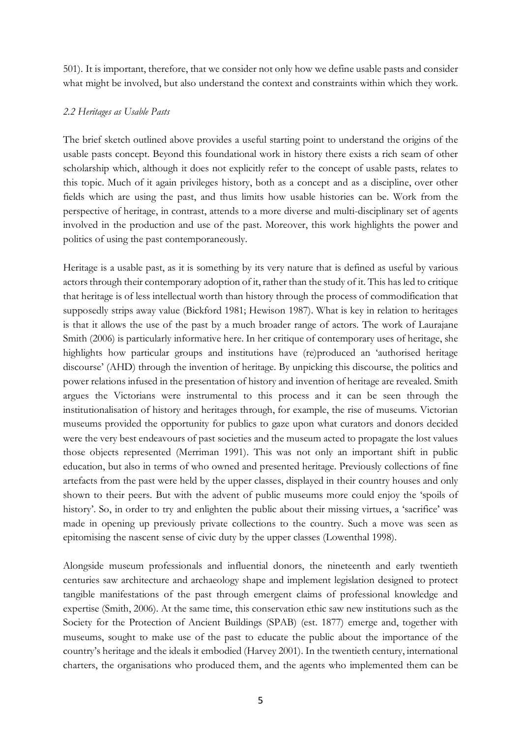501). It is important, therefore, that we consider not only how we define usable pasts and consider what might be involved, but also understand the context and constraints within which they work.

### *2.2 Heritages as Usable Pasts*

The brief sketch outlined above provides a useful starting point to understand the origins of the usable pasts concept. Beyond this foundational work in history there exists a rich seam of other scholarship which, although it does not explicitly refer to the concept of usable pasts, relates to this topic. Much of it again privileges history, both as a concept and as a discipline, over other fields which are using the past, and thus limits how usable histories can be. Work from the perspective of heritage, in contrast, attends to a more diverse and multi-disciplinary set of agents involved in the production and use of the past. Moreover, this work highlights the power and politics of using the past contemporaneously.

Heritage is a usable past, as it is something by its very nature that is defined as useful by various actors through their contemporary adoption of it, rather than the study of it. This has led to critique that heritage is of less intellectual worth than history through the process of commodification that supposedly strips away value (Bickford 1981; Hewison 1987). What is key in relation to heritages is that it allows the use of the past by a much broader range of actors. The work of Laurajane Smith (2006) is particularly informative here. In her critique of contemporary uses of heritage, she highlights how particular groups and institutions have (re)produced an 'authorised heritage discourse' (AHD) through the invention of heritage. By unpicking this discourse, the politics and power relations infused in the presentation of history and invention of heritage are revealed. Smith argues the Victorians were instrumental to this process and it can be seen through the institutionalisation of history and heritages through, for example, the rise of museums. Victorian museums provided the opportunity for publics to gaze upon what curators and donors decided were the very best endeavours of past societies and the museum acted to propagate the lost values those objects represented (Merriman 1991). This was not only an important shift in public education, but also in terms of who owned and presented heritage. Previously collections of fine artefacts from the past were held by the upper classes, displayed in their country houses and only shown to their peers. But with the advent of public museums more could enjoy the 'spoils of history'. So, in order to try and enlighten the public about their missing virtues, a 'sacrifice' was made in opening up previously private collections to the country. Such a move was seen as epitomising the nascent sense of civic duty by the upper classes (Lowenthal 1998).

Alongside museum professionals and influential donors, the nineteenth and early twentieth centuries saw architecture and archaeology shape and implement legislation designed to protect tangible manifestations of the past through emergent claims of professional knowledge and expertise (Smith, 2006). At the same time, this conservation ethic saw new institutions such as the Society for the Protection of Ancient Buildings (SPAB) (est. 1877) emerge and, together with museums, sought to make use of the past to educate the public about the importance of the country's heritage and the ideals it embodied (Harvey 2001). In the twentieth century, international charters, the organisations who produced them, and the agents who implemented them can be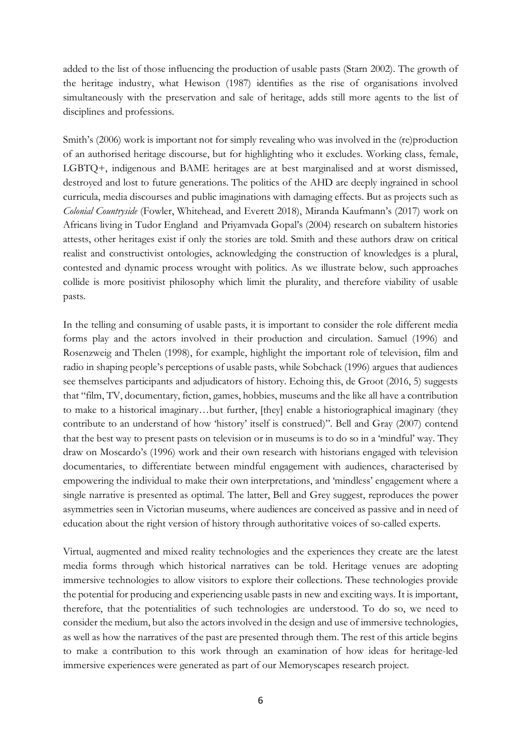added to the list of those influencing the production of usable pasts (Starn 2002). The growth of the heritage industry, what Hewison (1987) identifies as the rise of organisations involved simultaneously with the preservation and sale of heritage, adds still more agents to the list of disciplines and professions.

Smith's (2006) work is important not for simply revealing who was involved in the (re)production of an authorised heritage discourse, but for highlighting who it excludes. Working class, female, LGBTQ+, indigenous and BAME heritages are at best marginalised and at worst dismissed, destroyed and lost to future generations. The politics of the AHD are deeply ingrained in school curricula, media discourses and public imaginations with damaging effects. But as projects such as *Colonial Countryside* (Fowler, Whitehead, and Everett 2018), Miranda Kaufmann's (2017) work on Africans living in Tudor England and Priyamvada Gopal's (2004) research on subaltern histories attests, other heritages exist if only the stories are told. Smith and these authors draw on critical realist and constructivist ontologies, acknowledging the construction of knowledges is a plural, contested and dynamic process wrought with politics. As we illustrate below, such approaches collide is more positivist philosophy which limit the plurality, and therefore viability of usable pasts.

In the telling and consuming of usable pasts, it is important to consider the role different media forms play and the actors involved in their production and circulation. Samuel (1996) and Rosenzweig and Thelen (1998), for example, highlight the important role of television, film and radio in shaping people's perceptions of usable pasts, while Sobchack (1996) argues that audiences see themselves participants and adjudicators of history. Echoing this, de Groot (2016, 5) suggests that "film, TV, documentary, fiction, games, hobbies, museums and the like all have a contribution to make to a historical imaginary…but further, [they] enable a historiographical imaginary (they contribute to an understand of how 'history' itself is construed)". Bell and Gray (2007) contend that the best way to present pasts on television or in museums is to do so in a 'mindful' way. They draw on Moscardo's (1996) work and their own research with historians engaged with television documentaries, to differentiate between mindful engagement with audiences, characterised by empowering the individual to make their own interpretations, and 'mindless' engagement where a single narrative is presented as optimal. The latter, Bell and Grey suggest, reproduces the power asymmetries seen in Victorian museums, where audiences are conceived as passive and in need of education about the right version of history through authoritative voices of so-called experts.

Virtual, augmented and mixed reality technologies and the experiences they create are the latest media forms through which historical narratives can be told. Heritage venues are adopting immersive technologies to allow visitors to explore their collections. These technologies provide the potential for producing and experiencing usable pasts in new and exciting ways. It is important, therefore, that the potentialities of such technologies are understood. To do so, we need to consider the medium, but also the actors involved in the design and use of immersive technologies, as well as how the narratives of the past are presented through them. The rest of this article begins to make a contribution to this work through an examination of how ideas for heritage-led immersive experiences were generated as part of our Memoryscapes research project.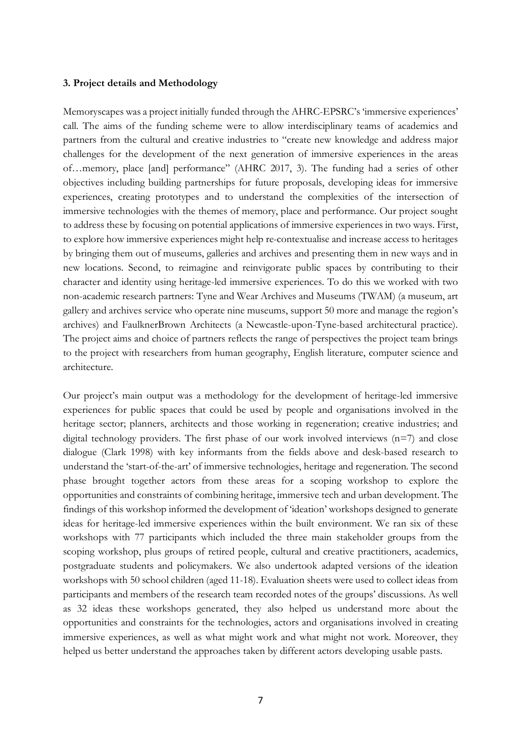#### **3. Project details and Methodology**

Memoryscapes was a project initially funded through the AHRC-EPSRC's 'immersive experiences' call. The aims of the funding scheme were to allow interdisciplinary teams of academics and partners from the cultural and creative industries to "create new knowledge and address major challenges for the development of the next generation of immersive experiences in the areas of…memory, place [and] performance" (AHRC 2017, 3). The funding had a series of other objectives including building partnerships for future proposals, developing ideas for immersive experiences, creating prototypes and to understand the complexities of the intersection of immersive technologies with the themes of memory, place and performance. Our project sought to address these by focusing on potential applications of immersive experiences in two ways. First, to explore how immersive experiences might help re-contextualise and increase access to heritages by bringing them out of museums, galleries and archives and presenting them in new ways and in new locations. Second, to reimagine and reinvigorate public spaces by contributing to their character and identity using heritage-led immersive experiences. To do this we worked with two non-academic research partners: Tyne and Wear Archives and Museums (TWAM) (a museum, art gallery and archives service who operate nine museums, support 50 more and manage the region's archives) and FaulknerBrown Architects (a Newcastle-upon-Tyne-based architectural practice). The project aims and choice of partners reflects the range of perspectives the project team brings to the project with researchers from human geography, English literature, computer science and architecture.

Our project's main output was a methodology for the development of heritage-led immersive experiences for public spaces that could be used by people and organisations involved in the heritage sector; planners, architects and those working in regeneration; creative industries; and digital technology providers. The first phase of our work involved interviews  $(n=7)$  and close dialogue (Clark 1998) with key informants from the fields above and desk-based research to understand the 'start-of-the-art' of immersive technologies, heritage and regeneration. The second phase brought together actors from these areas for a scoping workshop to explore the opportunities and constraints of combining heritage, immersive tech and urban development. The findings of this workshop informed the development of 'ideation' workshops designed to generate ideas for heritage-led immersive experiences within the built environment. We ran six of these workshops with 77 participants which included the three main stakeholder groups from the scoping workshop, plus groups of retired people, cultural and creative practitioners, academics, postgraduate students and policymakers. We also undertook adapted versions of the ideation workshops with 50 school children (aged 11-18). Evaluation sheets were used to collect ideas from participants and members of the research team recorded notes of the groups' discussions. As well as 32 ideas these workshops generated, they also helped us understand more about the opportunities and constraints for the technologies, actors and organisations involved in creating immersive experiences, as well as what might work and what might not work. Moreover, they helped us better understand the approaches taken by different actors developing usable pasts.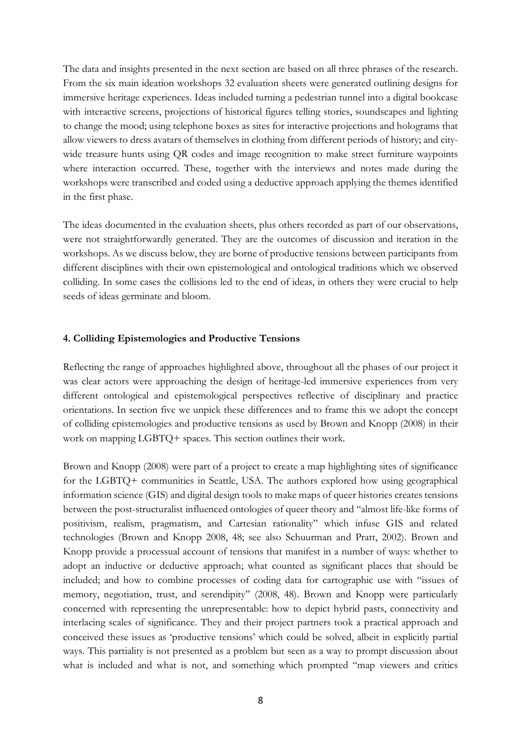The data and insights presented in the next section are based on all three phrases of the research. From the six main ideation workshops 32 evaluation sheets were generated outlining designs for immersive heritage experiences. Ideas included turning a pedestrian tunnel into a digital bookcase with interactive screens, projections of historical figures telling stories, soundscapes and lighting to change the mood; using telephone boxes as sites for interactive projections and holograms that allow viewers to dress avatars of themselves in clothing from different periods of history; and citywide treasure hunts using QR codes and image recognition to make street furniture waypoints where interaction occurred. These, together with the interviews and notes made during the workshops were transcribed and coded using a deductive approach applying the themes identified in the first phase.

The ideas documented in the evaluation sheets, plus others recorded as part of our observations, were not straightforwardly generated. They are the outcomes of discussion and iteration in the workshops. As we discuss below, they are borne of productive tensions between participants from different disciplines with their own epistemological and ontological traditions which we observed colliding. In some cases the collisions led to the end of ideas, in others they were crucial to help seeds of ideas germinate and bloom.

### **4. Colliding Epistemologies and Productive Tensions**

Reflecting the range of approaches highlighted above, throughout all the phases of our project it was clear actors were approaching the design of heritage-led immersive experiences from very different ontological and epistemological perspectives reflective of disciplinary and practice orientations. In section five we unpick these differences and to frame this we adopt the concept of colliding epistemologies and productive tensions as used by Brown and Knopp (2008) in their work on mapping LGBTQ+ spaces. This section outlines their work.

Brown and Knopp (2008) were part of a project to create a map highlighting sites of significance for the LGBTQ+ communities in Seattle, USA. The authors explored how using geographical information science (GIS) and digital design tools to make maps of queer histories creates tensions between the post-structuralist influenced ontologies of queer theory and "almost life-like forms of positivism, realism, pragmatism, and Cartesian rationality" which infuse GIS and related technologies (Brown and Knopp 2008, 48; see also Schuurman and Pratt, 2002). Brown and Knopp provide a processual account of tensions that manifest in a number of ways: whether to adopt an inductive or deductive approach; what counted as significant places that should be included; and how to combine processes of coding data for cartographic use with "issues of memory, negotiation, trust, and serendipity" (2008, 48). Brown and Knopp were particularly concerned with representing the unrepresentable: how to depict hybrid pasts, connectivity and interlacing scales of significance. They and their project partners took a practical approach and conceived these issues as 'productive tensions' which could be solved, albeit in explicitly partial ways. This partiality is not presented as a problem but seen as a way to prompt discussion about what is included and what is not, and something which prompted "map viewers and critics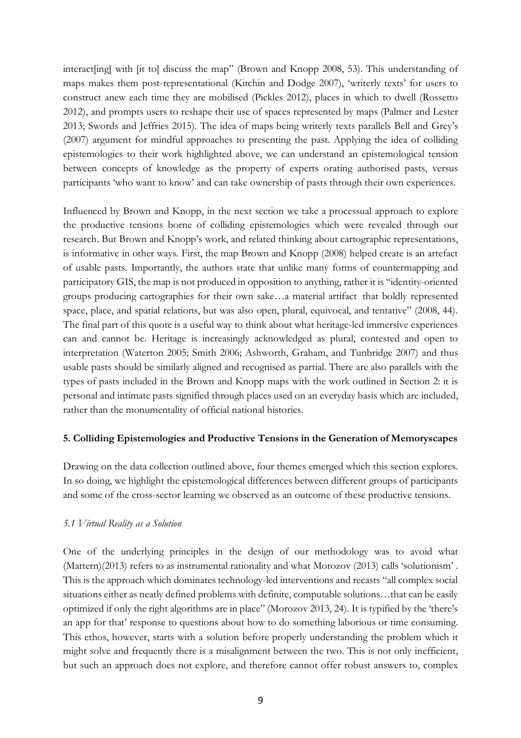interact[ing] with [it to] discuss the map" (Brown and Knopp 2008, 53). This understanding of maps makes them post-representational (Kitchin and Dodge 2007), 'writerly texts' for users to construct anew each time they are mobilised (Pickles 2012), places in which to dwell (Rossetto 2012), and prompts users to reshape their use of spaces represented by maps (Palmer and Lester 2013; Swords and Jeffries 2015). The idea of maps being writerly texts parallels Bell and Grey's (2007) argument for mindful approaches to presenting the past. Applying the idea of colliding epistemologies to their work highlighted above, we can understand an epistemological tension between concepts of knowledge as the property of experts orating authorised pasts, versus participants 'who want to know' and can take ownership of pasts through their own experiences.

Influenced by Brown and Knopp, in the next section we take a processual approach to explore the productive tensions borne of colliding epistemologies which were revealed through our research. But Brown and Knopp's work, and related thinking about cartographic representations, is informative in other ways. First, the map Brown and Knopp (2008) helped create is an artefact of usable pasts. Importantly, the authors state that unlike many forms of countermapping and participatory GIS, the map is not produced in opposition to anything, rather it is "identity-oriented groups producing cartographies for their own sake…a material artifact that boldly represented space, place, and spatial relations, but was also open, plural, equivocal, and tentative" (2008, 44). The final part of this quote is a useful way to think about what heritage-led immersive experiences can and cannot be. Heritage is increasingly acknowledged as plural, contested and open to interpretation (Waterton 2005; Smith 2006; Ashworth, Graham, and Tunbridge 2007) and thus usable pasts should be similarly aligned and recognised as partial. There are also parallels with the types of pasts included in the Brown and Knopp maps with the work outlined in Section 2: it is personal and intimate pasts signified through places used on an everyday basis which are included, rather than the monumentality of official national histories.

# **5. Colliding Epistemologies and Productive Tensions in the Generation of Memoryscapes**

Drawing on the data collection outlined above, four themes emerged which this section explores. In so doing, we highlight the epistemological differences between different groups of participants and some of the cross-sector learning we observed as an outcome of these productive tensions.

# *5.1 Virtual Reality as a Solution*

One of the underlying principles in the design of our methodology was to avoid what (Mattern)(2013) refers to as instrumental rationality and what Morozov (2013) calls 'solutionism' . This is the approach which dominates technology-led interventions and recasts "all complex social situations either as neatly defined problems with definite, computable solutions…that can be easily optimized if only the right algorithms are in place" (Morozov 2013, 24). It is typified by the 'there's an app for that' response to questions about how to do something laborious or time consuming. This ethos, however, starts with a solution before properly understanding the problem which it might solve and frequently there is a misalignment between the two. This is not only inefficient, but such an approach does not explore, and therefore cannot offer robust answers to, complex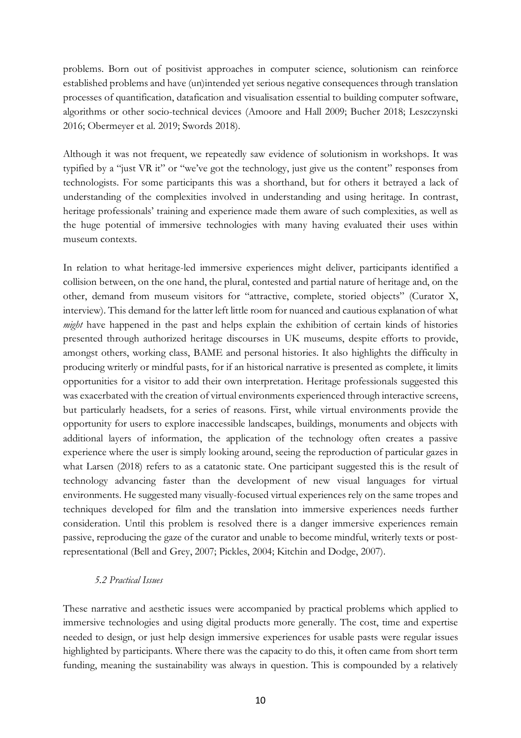problems. Born out of positivist approaches in computer science, solutionism can reinforce established problems and have (un)intended yet serious negative consequences through translation processes of quantification, datafication and visualisation essential to building computer software, algorithms or other socio-technical devices (Amoore and Hall 2009; Bucher 2018; Leszczynski 2016; Obermeyer et al. 2019; Swords 2018).

Although it was not frequent, we repeatedly saw evidence of solutionism in workshops. It was typified by a "just VR it" or "we've got the technology, just give us the content" responses from technologists. For some participants this was a shorthand, but for others it betrayed a lack of understanding of the complexities involved in understanding and using heritage. In contrast, heritage professionals' training and experience made them aware of such complexities, as well as the huge potential of immersive technologies with many having evaluated their uses within museum contexts.

In relation to what heritage-led immersive experiences might deliver, participants identified a collision between, on the one hand, the plural, contested and partial nature of heritage and, on the other, demand from museum visitors for "attractive, complete, storied objects" (Curator X, interview). This demand for the latter left little room for nuanced and cautious explanation of what *might* have happened in the past and helps explain the exhibition of certain kinds of histories presented through authorized heritage discourses in UK museums, despite efforts to provide, amongst others, working class, BAME and personal histories. It also highlights the difficulty in producing writerly or mindful pasts, for if an historical narrative is presented as complete, it limits opportunities for a visitor to add their own interpretation. Heritage professionals suggested this was exacerbated with the creation of virtual environments experienced through interactive screens, but particularly headsets, for a series of reasons. First, while virtual environments provide the opportunity for users to explore inaccessible landscapes, buildings, monuments and objects with additional layers of information, the application of the technology often creates a passive experience where the user is simply looking around, seeing the reproduction of particular gazes in what Larsen (2018) refers to as a catatonic state. One participant suggested this is the result of technology advancing faster than the development of new visual languages for virtual environments. He suggested many visually-focused virtual experiences rely on the same tropes and techniques developed for film and the translation into immersive experiences needs further consideration. Until this problem is resolved there is a danger immersive experiences remain passive, reproducing the gaze of the curator and unable to become mindful, writerly texts or postrepresentational (Bell and Grey, 2007; Pickles, 2004; Kitchin and Dodge, 2007).

# *5.2 Practical Issues*

These narrative and aesthetic issues were accompanied by practical problems which applied to immersive technologies and using digital products more generally. The cost, time and expertise needed to design, or just help design immersive experiences for usable pasts were regular issues highlighted by participants. Where there was the capacity to do this, it often came from short term funding, meaning the sustainability was always in question. This is compounded by a relatively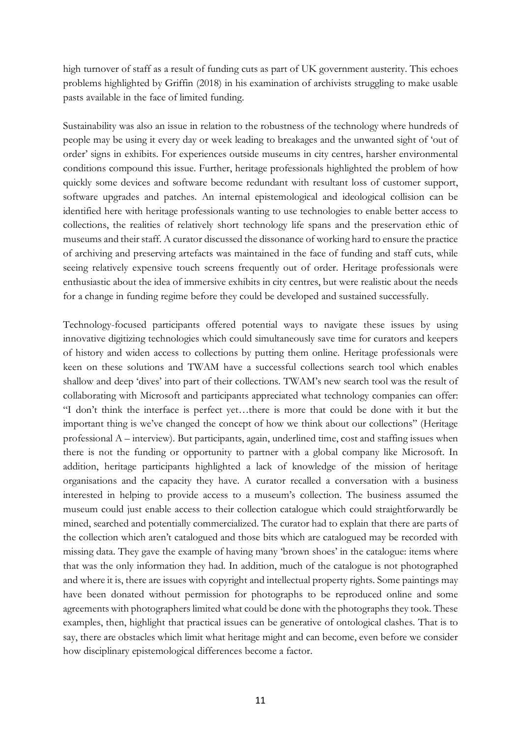high turnover of staff as a result of funding cuts as part of UK government austerity. This echoes problems highlighted by Griffin (2018) in his examination of archivists struggling to make usable pasts available in the face of limited funding.

Sustainability was also an issue in relation to the robustness of the technology where hundreds of people may be using it every day or week leading to breakages and the unwanted sight of 'out of order' signs in exhibits. For experiences outside museums in city centres, harsher environmental conditions compound this issue. Further, heritage professionals highlighted the problem of how quickly some devices and software become redundant with resultant loss of customer support, software upgrades and patches. An internal epistemological and ideological collision can be identified here with heritage professionals wanting to use technologies to enable better access to collections, the realities of relatively short technology life spans and the preservation ethic of museums and their staff. A curator discussed the dissonance of working hard to ensure the practice of archiving and preserving artefacts was maintained in the face of funding and staff cuts, while seeing relatively expensive touch screens frequently out of order. Heritage professionals were enthusiastic about the idea of immersive exhibits in city centres, but were realistic about the needs for a change in funding regime before they could be developed and sustained successfully.

Technology-focused participants offered potential ways to navigate these issues by using innovative digitizing technologies which could simultaneously save time for curators and keepers of history and widen access to collections by putting them online. Heritage professionals were keen on these solutions and TWAM have a successful collections search tool which enables shallow and deep 'dives' into part of their collections. TWAM's new search tool was the result of collaborating with Microsoft and participants appreciated what technology companies can offer: "I don't think the interface is perfect yet…there is more that could be done with it but the important thing is we've changed the concept of how we think about our collections" (Heritage professional A – interview). But participants, again, underlined time, cost and staffing issues when there is not the funding or opportunity to partner with a global company like Microsoft. In addition, heritage participants highlighted a lack of knowledge of the mission of heritage organisations and the capacity they have. A curator recalled a conversation with a business interested in helping to provide access to a museum's collection. The business assumed the museum could just enable access to their collection catalogue which could straightforwardly be mined, searched and potentially commercialized. The curator had to explain that there are parts of the collection which aren't catalogued and those bits which are catalogued may be recorded with missing data. They gave the example of having many 'brown shoes' in the catalogue: items where that was the only information they had. In addition, much of the catalogue is not photographed and where it is, there are issues with copyright and intellectual property rights. Some paintings may have been donated without permission for photographs to be reproduced online and some agreements with photographers limited what could be done with the photographs they took. These examples, then, highlight that practical issues can be generative of ontological clashes. That is to say, there are obstacles which limit what heritage might and can become, even before we consider how disciplinary epistemological differences become a factor.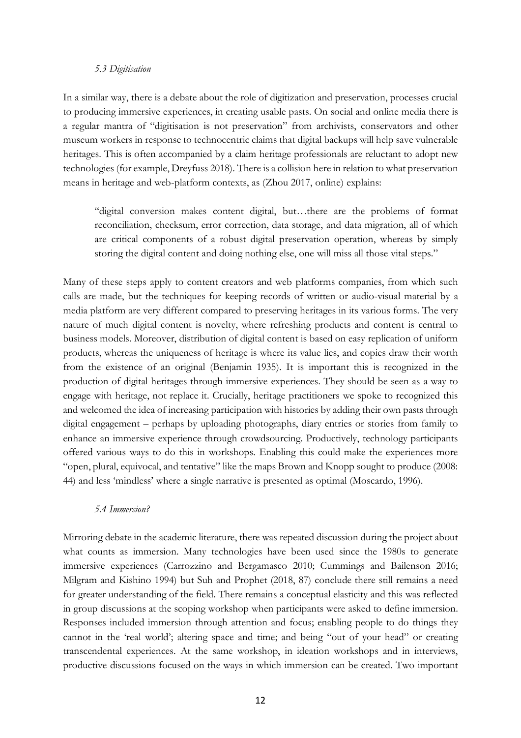#### *5.3 Digitisation*

In a similar way, there is a debate about the role of digitization and preservation, processes crucial to producing immersive experiences, in creating usable pasts. On social and online media there is a regular mantra of "digitisation is not preservation" from archivists, conservators and other museum workers in response to technocentric claims that digital backups will help save vulnerable heritages. This is often accompanied by a claim heritage professionals are reluctant to adopt new technologies (for example, Dreyfuss 2018). There is a collision here in relation to what preservation means in heritage and web-platform contexts, as (Zhou 2017, online) explains:

"digital conversion makes content digital, but…there are the problems of format reconciliation, checksum, error correction, data storage, and data migration, all of which are critical components of a robust digital preservation operation, whereas by simply storing the digital content and doing nothing else, one will miss all those vital steps."

Many of these steps apply to content creators and web platforms companies, from which such calls are made, but the techniques for keeping records of written or audio-visual material by a media platform are very different compared to preserving heritages in its various forms. The very nature of much digital content is novelty, where refreshing products and content is central to business models. Moreover, distribution of digital content is based on easy replication of uniform products, whereas the uniqueness of heritage is where its value lies, and copies draw their worth from the existence of an original (Benjamin 1935). It is important this is recognized in the production of digital heritages through immersive experiences. They should be seen as a way to engage with heritage, not replace it. Crucially, heritage practitioners we spoke to recognized this and welcomed the idea of increasing participation with histories by adding their own pasts through digital engagement – perhaps by uploading photographs, diary entries or stories from family to enhance an immersive experience through crowdsourcing. Productively, technology participants offered various ways to do this in workshops. Enabling this could make the experiences more "open, plural, equivocal, and tentative" like the maps Brown and Knopp sought to produce (2008: 44) and less 'mindless' where a single narrative is presented as optimal (Moscardo, 1996).

#### *5.4 Immersion?*

Mirroring debate in the academic literature, there was repeated discussion during the project about what counts as immersion. Many technologies have been used since the 1980s to generate immersive experiences (Carrozzino and Bergamasco 2010; Cummings and Bailenson 2016; Milgram and Kishino 1994) but Suh and Prophet (2018, 87) conclude there still remains a need for greater understanding of the field. There remains a conceptual elasticity and this was reflected in group discussions at the scoping workshop when participants were asked to define immersion. Responses included immersion through attention and focus; enabling people to do things they cannot in the 'real world'; altering space and time; and being "out of your head" or creating transcendental experiences. At the same workshop, in ideation workshops and in interviews, productive discussions focused on the ways in which immersion can be created. Two important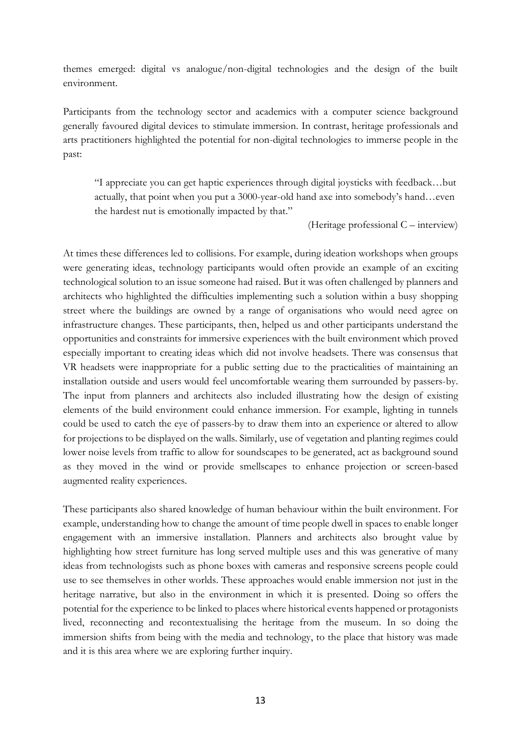themes emerged: digital vs analogue/non-digital technologies and the design of the built environment.

Participants from the technology sector and academics with a computer science background generally favoured digital devices to stimulate immersion. In contrast, heritage professionals and arts practitioners highlighted the potential for non-digital technologies to immerse people in the past:

"I appreciate you can get haptic experiences through digital joysticks with feedback…but actually, that point when you put a 3000-year-old hand axe into somebody's hand…even the hardest nut is emotionally impacted by that."

(Heritage professional C – interview)

At times these differences led to collisions. For example, during ideation workshops when groups were generating ideas, technology participants would often provide an example of an exciting technological solution to an issue someone had raised. But it was often challenged by planners and architects who highlighted the difficulties implementing such a solution within a busy shopping street where the buildings are owned by a range of organisations who would need agree on infrastructure changes. These participants, then, helped us and other participants understand the opportunities and constraints for immersive experiences with the built environment which proved especially important to creating ideas which did not involve headsets. There was consensus that VR headsets were inappropriate for a public setting due to the practicalities of maintaining an installation outside and users would feel uncomfortable wearing them surrounded by passers-by. The input from planners and architects also included illustrating how the design of existing elements of the build environment could enhance immersion. For example, lighting in tunnels could be used to catch the eye of passers-by to draw them into an experience or altered to allow for projections to be displayed on the walls. Similarly, use of vegetation and planting regimes could lower noise levels from traffic to allow for soundscapes to be generated, act as background sound as they moved in the wind or provide smellscapes to enhance projection or screen-based augmented reality experiences.

These participants also shared knowledge of human behaviour within the built environment. For example, understanding how to change the amount of time people dwell in spaces to enable longer engagement with an immersive installation. Planners and architects also brought value by highlighting how street furniture has long served multiple uses and this was generative of many ideas from technologists such as phone boxes with cameras and responsive screens people could use to see themselves in other worlds. These approaches would enable immersion not just in the heritage narrative, but also in the environment in which it is presented. Doing so offers the potential for the experience to be linked to places where historical events happened or protagonists lived, reconnecting and recontextualising the heritage from the museum. In so doing the immersion shifts from being with the media and technology, to the place that history was made and it is this area where we are exploring further inquiry.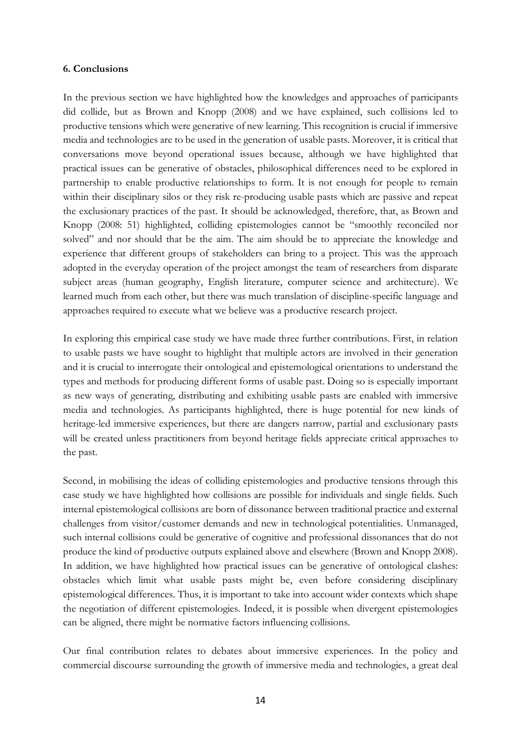#### **6. Conclusions**

In the previous section we have highlighted how the knowledges and approaches of participants did collide, but as Brown and Knopp (2008) and we have explained, such collisions led to productive tensions which were generative of new learning. This recognition is crucial if immersive media and technologies are to be used in the generation of usable pasts. Moreover, it is critical that conversations move beyond operational issues because, although we have highlighted that practical issues can be generative of obstacles, philosophical differences need to be explored in partnership to enable productive relationships to form. It is not enough for people to remain within their disciplinary silos or they risk re-producing usable pasts which are passive and repeat the exclusionary practices of the past. It should be acknowledged, therefore, that, as Brown and Knopp (2008: 51) highlighted, colliding epistemologies cannot be "smoothly reconciled nor solved" and nor should that be the aim. The aim should be to appreciate the knowledge and experience that different groups of stakeholders can bring to a project. This was the approach adopted in the everyday operation of the project amongst the team of researchers from disparate subject areas (human geography, English literature, computer science and architecture). We learned much from each other, but there was much translation of discipline-specific language and approaches required to execute what we believe was a productive research project.

In exploring this empirical case study we have made three further contributions. First, in relation to usable pasts we have sought to highlight that multiple actors are involved in their generation and it is crucial to interrogate their ontological and epistemological orientations to understand the types and methods for producing different forms of usable past. Doing so is especially important as new ways of generating, distributing and exhibiting usable pasts are enabled with immersive media and technologies. As participants highlighted, there is huge potential for new kinds of heritage-led immersive experiences, but there are dangers narrow, partial and exclusionary pasts will be created unless practitioners from beyond heritage fields appreciate critical approaches to the past.

Second, in mobilising the ideas of colliding epistemologies and productive tensions through this case study we have highlighted how collisions are possible for individuals and single fields. Such internal epistemological collisions are born of dissonance between traditional practice and external challenges from visitor/customer demands and new in technological potentialities. Unmanaged, such internal collisions could be generative of cognitive and professional dissonances that do not produce the kind of productive outputs explained above and elsewhere (Brown and Knopp 2008). In addition, we have highlighted how practical issues can be generative of ontological clashes: obstacles which limit what usable pasts might be, even before considering disciplinary epistemological differences. Thus, it is important to take into account wider contexts which shape the negotiation of different epistemologies. Indeed, it is possible when divergent epistemologies can be aligned, there might be normative factors influencing collisions.

Our final contribution relates to debates about immersive experiences. In the policy and commercial discourse surrounding the growth of immersive media and technologies, a great deal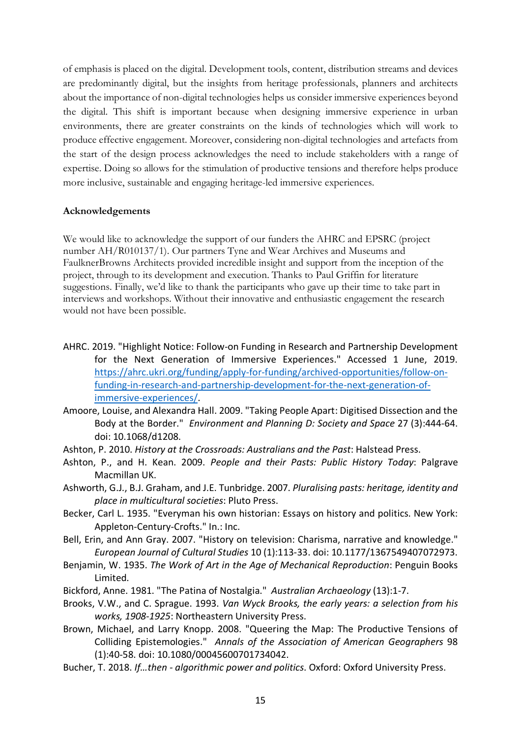of emphasis is placed on the digital. Development tools, content, distribution streams and devices are predominantly digital, but the insights from heritage professionals, planners and architects about the importance of non-digital technologies helps us consider immersive experiences beyond the digital. This shift is important because when designing immersive experience in urban environments, there are greater constraints on the kinds of technologies which will work to produce effective engagement. Moreover, considering non-digital technologies and artefacts from the start of the design process acknowledges the need to include stakeholders with a range of expertise. Doing so allows for the stimulation of productive tensions and therefore helps produce more inclusive, sustainable and engaging heritage-led immersive experiences.

# **Acknowledgements**

We would like to acknowledge the support of our funders the AHRC and EPSRC (project number AH/R010137/1). Our partners Tyne and Wear Archives and Museums and FaulknerBrowns Architects provided incredible insight and support from the inception of the project, through to its development and execution. Thanks to Paul Griffin for literature suggestions. Finally, we'd like to thank the participants who gave up their time to take part in interviews and workshops. Without their innovative and enthusiastic engagement the research would not have been possible.

- AHRC. 2019. "Highlight Notice: Follow-on Funding in Research and Partnership Development for the Next Generation of Immersive Experiences." Accessed 1 June, 2019. https://ahrc.ukri.org/funding/apply-for-funding/archived-opportunities/follow-onfunding-in-research-and-partnership-development-for-the-next-generation-ofimmersive-experiences/.
- Amoore, Louise, and Alexandra Hall. 2009. "Taking People Apart: Digitised Dissection and the Body at the Border." *Environment and Planning D: Society and Space* 27 (3):444-64. doi: 10.1068/d1208.
- Ashton, P. 2010. *History at the Crossroads: Australians and the Past*: Halstead Press.
- Ashton, P., and H. Kean. 2009. *People and their Pasts: Public History Today*: Palgrave Macmillan UK.
- Ashworth, G.J., B.J. Graham, and J.E. Tunbridge. 2007. *Pluralising pasts: heritage, identity and place in multicultural societies*: Pluto Press.
- Becker, Carl L. 1935. "Everyman his own historian: Essays on history and politics. New York: Appleton-Century-Crofts." In.: Inc.
- Bell, Erin, and Ann Gray. 2007. "History on television: Charisma, narrative and knowledge." *European Journal of Cultural Studies* 10 (1):113-33. doi: 10.1177/1367549407072973.
- Benjamin, W. 1935. *The Work of Art in the Age of Mechanical Reproduction*: Penguin Books Limited.
- Bickford, Anne. 1981. "The Patina of Nostalgia." *Australian Archaeology* (13):1-7.
- Brooks, V.W., and C. Sprague. 1993. *Van Wyck Brooks, the early years: a selection from his works, 1908-1925*: Northeastern University Press.
- Brown, Michael, and Larry Knopp. 2008. "Queering the Map: The Productive Tensions of Colliding Epistemologies." *Annals of the Association of American Geographers* 98 (1):40-58. doi: 10.1080/00045600701734042.
- Bucher, T. 2018. *If…then - algorithmic power and politics*. Oxford: Oxford University Press.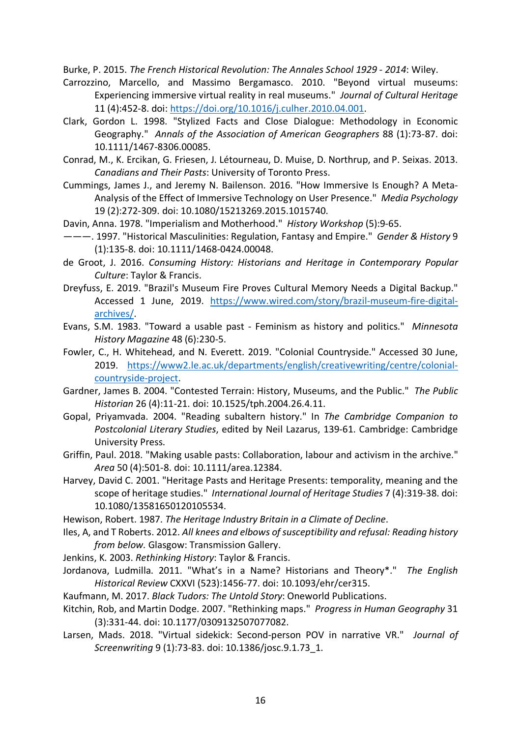Burke, P. 2015. *The French Historical Revolution: The Annales School 1929 - 2014*: Wiley.

- Carrozzino, Marcello, and Massimo Bergamasco. 2010. "Beyond virtual museums: Experiencing immersive virtual reality in real museums." *Journal of Cultural Heritage* 11 (4):452-8. doi: https://doi.org/10.1016/j.culher.2010.04.001.
- Clark, Gordon L. 1998. "Stylized Facts and Close Dialogue: Methodology in Economic Geography." *Annals of the Association of American Geographers* 88 (1):73-87. doi: 10.1111/1467-8306.00085.
- Conrad, M., K. Ercikan, G. Friesen, J. Létourneau, D. Muise, D. Northrup, and P. Seixas. 2013. *Canadians and Their Pasts*: University of Toronto Press.
- Cummings, James J., and Jeremy N. Bailenson. 2016. "How Immersive Is Enough? A Meta-Analysis of the Effect of Immersive Technology on User Presence." *Media Psychology* 19 (2):272-309. doi: 10.1080/15213269.2015.1015740.
- Davin, Anna. 1978. "Imperialism and Motherhood." *History Workshop* (5):9-65.
- ———. 1997. "Historical Masculinities: Regulation, Fantasy and Empire." *Gender & History* 9 (1):135-8. doi: 10.1111/1468-0424.00048.
- de Groot, J. 2016. *Consuming History: Historians and Heritage in Contemporary Popular Culture*: Taylor & Francis.
- Dreyfuss, E. 2019. "Brazil's Museum Fire Proves Cultural Memory Needs a Digital Backup." Accessed 1 June, 2019. https://www.wired.com/story/brazil-museum-fire-digitalarchives/.
- Evans, S.M. 1983. "Toward a usable past Feminism as history and politics." *Minnesota History Magazine* 48 (6):230-5.
- Fowler, C., H. Whitehead, and N. Everett. 2019. "Colonial Countryside." Accessed 30 June, 2019. https://www2.le.ac.uk/departments/english/creativewriting/centre/colonialcountryside-project.
- Gardner, James B. 2004. "Contested Terrain: History, Museums, and the Public." *The Public Historian* 26 (4):11-21. doi: 10.1525/tph.2004.26.4.11.
- Gopal, Priyamvada. 2004. "Reading subaltern history." In *The Cambridge Companion to Postcolonial Literary Studies*, edited by Neil Lazarus, 139-61. Cambridge: Cambridge University Press.
- Griffin, Paul. 2018. "Making usable pasts: Collaboration, labour and activism in the archive." *Area* 50 (4):501-8. doi: 10.1111/area.12384.
- Harvey, David C. 2001. "Heritage Pasts and Heritage Presents: temporality, meaning and the scope of heritage studies." *International Journal of Heritage Studies* 7 (4):319-38. doi: 10.1080/13581650120105534.

Hewison, Robert. 1987. *The Heritage Industry Britain in a Climate of Decline*.

- Iles, A, and T Roberts. 2012. *All knees and elbows of susceptibility and refusal: Reading history from below.* Glasgow: Transmission Gallery.
- Jenkins, K. 2003. *Rethinking History*: Taylor & Francis.
- Jordanova, Ludmilla. 2011. "What's in a Name? Historians and Theory\*." *The English Historical Review* CXXVI (523):1456-77. doi: 10.1093/ehr/cer315.

Kaufmann, M. 2017. *Black Tudors: The Untold Story*: Oneworld Publications.

- Kitchin, Rob, and Martin Dodge. 2007. "Rethinking maps." *Progress in Human Geography* 31 (3):331-44. doi: 10.1177/0309132507077082.
- Larsen, Mads. 2018. "Virtual sidekick: Second-person POV in narrative VR." *Journal of Screenwriting* 9 (1):73-83. doi: 10.1386/josc.9.1.73\_1.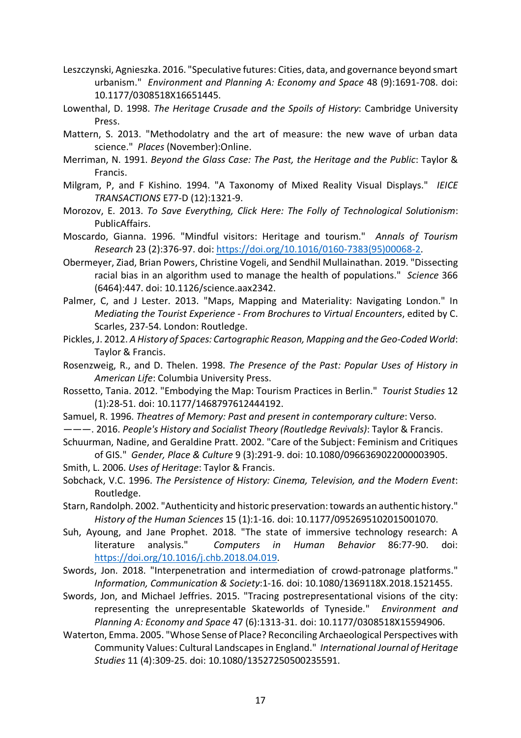- Leszczynski, Agnieszka. 2016. "Speculative futures: Cities, data, and governance beyond smart urbanism." *Environment and Planning A: Economy and Space* 48 (9):1691-708. doi: 10.1177/0308518X16651445.
- Lowenthal, D. 1998. *The Heritage Crusade and the Spoils of History*: Cambridge University Press.
- Mattern, S. 2013. "Methodolatry and the art of measure: the new wave of urban data science." *Places* (November):Online.
- Merriman, N. 1991. *Beyond the Glass Case: The Past, the Heritage and the Public*: Taylor & Francis.
- Milgram, P, and F Kishino. 1994. "A Taxonomy of Mixed Reality Visual Displays." *IEICE TRANSACTIONS* E77-D (12):1321-9.
- Morozov, E. 2013. *To Save Everything, Click Here: The Folly of Technological Solutionism*: PublicAffairs.
- Moscardo, Gianna. 1996. "Mindful visitors: Heritage and tourism." *Annals of Tourism Research* 23 (2):376-97. doi: https://doi.org/10.1016/0160-7383(95)00068-2.
- Obermeyer, Ziad, Brian Powers, Christine Vogeli, and Sendhil Mullainathan. 2019. "Dissecting racial bias in an algorithm used to manage the health of populations." *Science* 366 (6464):447. doi: 10.1126/science.aax2342.
- Palmer, C, and J Lester. 2013. "Maps, Mapping and Materiality: Navigating London." In *Mediating the Tourist Experience - From Brochures to Virtual Encounters*, edited by C. Scarles, 237-54. London: Routledge.

Pickles, J. 2012. *A History of Spaces: Cartographic Reason, Mapping and the Geo-Coded World*: Taylor & Francis.

- Rosenzweig, R., and D. Thelen. 1998. *The Presence of the Past: Popular Uses of History in American Life*: Columbia University Press.
- Rossetto, Tania. 2012. "Embodying the Map: Tourism Practices in Berlin." *Tourist Studies* 12 (1):28-51. doi: 10.1177/1468797612444192.
- Samuel, R. 1996. *Theatres of Memory: Past and present in contemporary culture*: Verso.
- ———. 2016. *People's History and Socialist Theory (Routledge Revivals)*: Taylor & Francis.
- Schuurman, Nadine, and Geraldine Pratt. 2002. "Care of the Subject: Feminism and Critiques of GIS." *Gender, Place & Culture* 9 (3):291-9. doi: 10.1080/0966369022000003905.
- Smith, L. 2006. *Uses of Heritage*: Taylor & Francis.
- Sobchack, V.C. 1996. *The Persistence of History: Cinema, Television, and the Modern Event*: Routledge.
- Starn, Randolph. 2002. "Authenticity and historic preservation: towards an authentic history." *History of the Human Sciences* 15 (1):1-16. doi: 10.1177/0952695102015001070.
- Suh, Ayoung, and Jane Prophet. 2018. "The state of immersive technology research: A literature analysis." *Computers in Human Behavior* 86:77-90. doi: https://doi.org/10.1016/j.chb.2018.04.019.
- Swords, Jon. 2018. "Interpenetration and intermediation of crowd-patronage platforms." *Information, Communication & Society*:1-16. doi: 10.1080/1369118X.2018.1521455.
- Swords, Jon, and Michael Jeffries. 2015. "Tracing postrepresentational visions of the city: representing the unrepresentable Skateworlds of Tyneside." *Environment and Planning A: Economy and Space* 47 (6):1313-31. doi: 10.1177/0308518X15594906.
- Waterton, Emma. 2005. "Whose Sense of Place? Reconciling Archaeological Perspectives with Community Values: Cultural Landscapes in England." *International Journal of Heritage Studies* 11 (4):309-25. doi: 10.1080/13527250500235591.